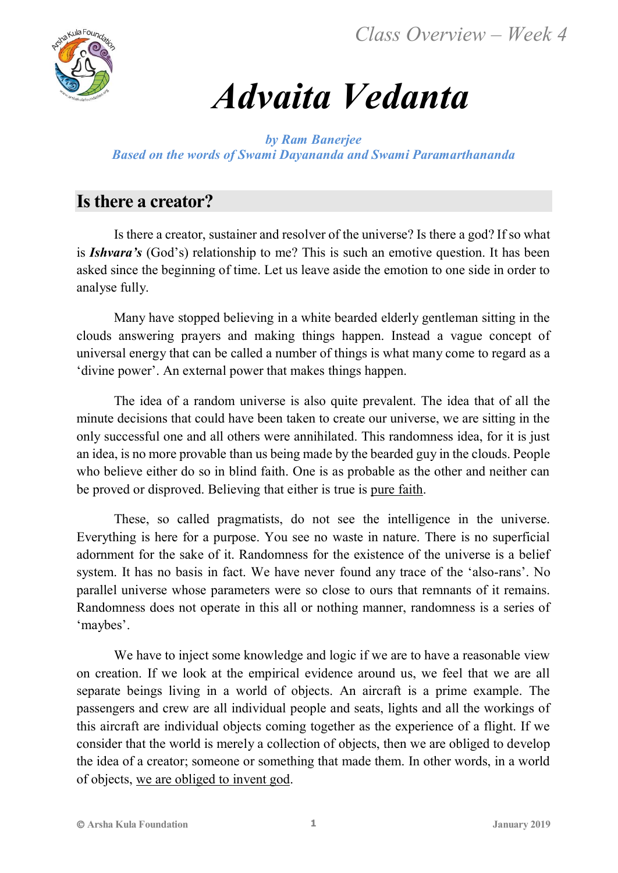*Class Overview – Week 4*



# *Advaita Vedanta*

*by Ram Banerjee Based on the words of Swami Dayananda and Swami Paramarthananda*

## **Is there a creator?**

Is there a creator, sustainer and resolver of the universe? Is there a god? If so what is *Ishvara's* (God's) relationship to me? This is such an emotive question. It has been asked since the beginning of time. Let us leave aside the emotion to one side in order to analyse fully.

Many have stopped believing in a white bearded elderly gentleman sitting in the clouds answering prayers and making things happen. Instead a vague concept of universal energy that can be called a number of things is what many come to regard as a 'divine power'. An external power that makes things happen.

The idea of a random universe is also quite prevalent. The idea that of all the minute decisions that could have been taken to create our universe, we are sitting in the only successful one and all others were annihilated. This randomness idea, for it is just an idea, is no more provable than us being made by the bearded guy in the clouds. People who believe either do so in blind faith. One is as probable as the other and neither can be proved or disproved. Believing that either is true is pure faith.

These, so called pragmatists, do not see the intelligence in the universe. Everything is here for a purpose. You see no waste in nature. There is no superficial adornment for the sake of it. Randomness for the existence of the universe is a belief system. It has no basis in fact. We have never found any trace of the 'also-rans'. No parallel universe whose parameters were so close to ours that remnants of it remains. Randomness does not operate in this all or nothing manner, randomness is a series of 'maybes'.

We have to inject some knowledge and logic if we are to have a reasonable view on creation. If we look at the empirical evidence around us, we feel that we are all separate beings living in a world of objects. An aircraft is a prime example. The passengers and crew are all individual people and seats, lights and all the workings of this aircraft are individual objects coming together as the experience of a flight. If we consider that the world is merely a collection of objects, then we are obliged to develop the idea of a creator; someone or something that made them. In other words, in a world of objects, we are obliged to invent god.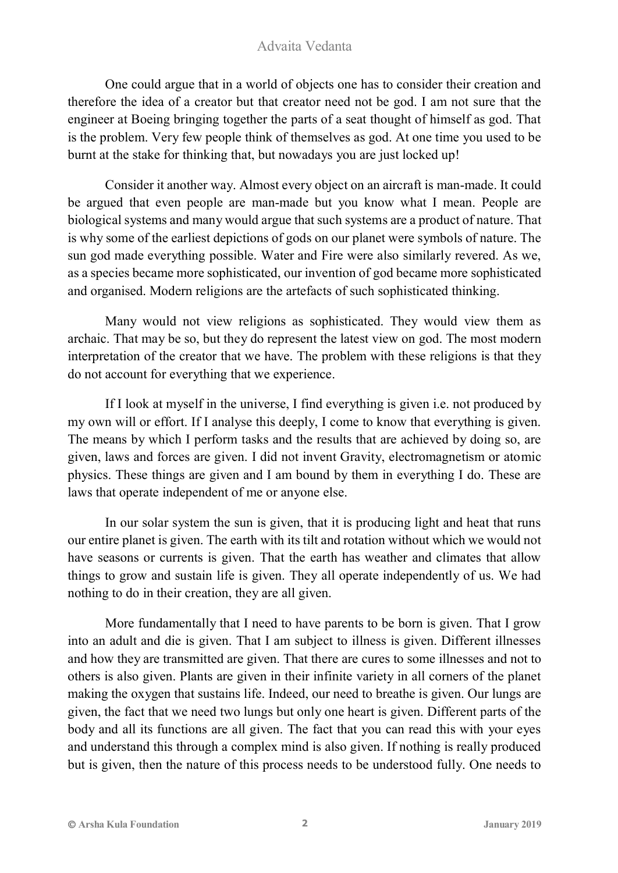One could argue that in a world of objects one has to consider their creation and therefore the idea of a creator but that creator need not be god. I am not sure that the engineer at Boeing bringing together the parts of a seat thought of himself as god. That is the problem. Very few people think of themselves as god. At one time you used to be burnt at the stake for thinking that, but nowadays you are just locked up!

Consider it another way. Almost every object on an aircraft is man-made. It could be argued that even people are man-made but you know what I mean. People are biological systems and many would argue that such systems are a product of nature. That is why some of the earliest depictions of gods on our planet were symbols of nature. The sun god made everything possible. Water and Fire were also similarly revered. As we, as a species became more sophisticated, our invention of god became more sophisticated and organised. Modern religions are the artefacts of such sophisticated thinking.

Many would not view religions as sophisticated. They would view them as archaic. That may be so, but they do represent the latest view on god. The most modern interpretation of the creator that we have. The problem with these religions is that they do not account for everything that we experience.

If I look at myself in the universe, I find everything is given i.e. not produced by my own will or effort. If I analyse this deeply, I come to know that everything is given. The means by which I perform tasks and the results that are achieved by doing so, are given, laws and forces are given. I did not invent Gravity, electromagnetism or atomic physics. These things are given and I am bound by them in everything I do. These are laws that operate independent of me or anyone else.

In our solar system the sun is given, that it is producing light and heat that runs our entire planet is given. The earth with its tilt and rotation without which we would not have seasons or currents is given. That the earth has weather and climates that allow things to grow and sustain life is given. They all operate independently of us. We had nothing to do in their creation, they are all given.

More fundamentally that I need to have parents to be born is given. That I grow into an adult and die is given. That I am subject to illness is given. Different illnesses and how they are transmitted are given. That there are cures to some illnesses and not to others is also given. Plants are given in their infinite variety in all corners of the planet making the oxygen that sustains life. Indeed, our need to breathe is given. Our lungs are given, the fact that we need two lungs but only one heart is given. Different parts of the body and all its functions are all given. The fact that you can read this with your eyes and understand this through a complex mind is also given. If nothing is really produced but is given, then the nature of this process needs to be understood fully. One needs to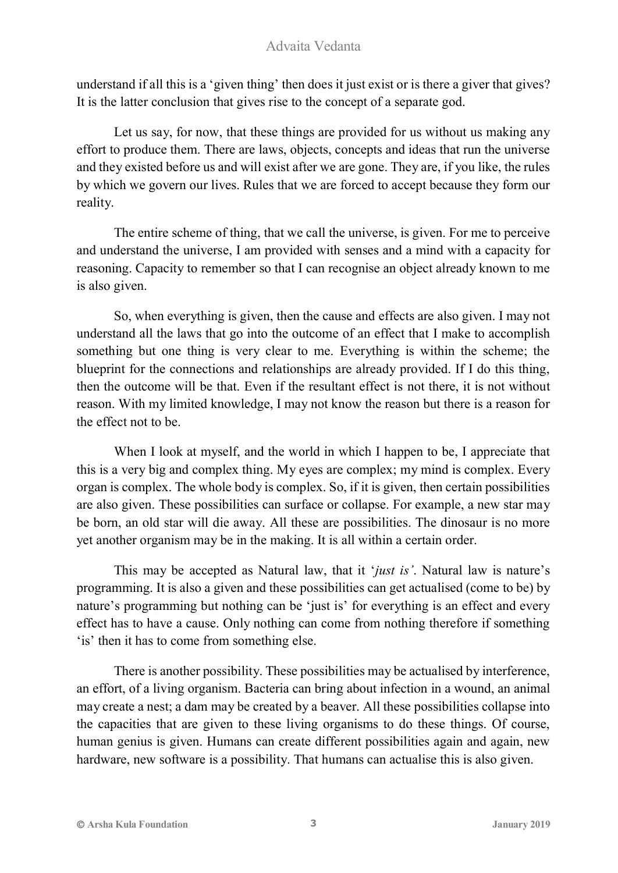understand if all this is a 'given thing' then does it just exist or is there a giver that gives? It is the latter conclusion that gives rise to the concept of a separate god.

Let us say, for now, that these things are provided for us without us making any effort to produce them. There are laws, objects, concepts and ideas that run the universe and they existed before us and will exist after we are gone. They are, if you like, the rules by which we govern our lives. Rules that we are forced to accept because they form our reality.

The entire scheme of thing, that we call the universe, is given. For me to perceive and understand the universe, I am provided with senses and a mind with a capacity for reasoning. Capacity to remember so that I can recognise an object already known to me is also given.

So, when everything is given, then the cause and effects are also given. I may not understand all the laws that go into the outcome of an effect that I make to accomplish something but one thing is very clear to me. Everything is within the scheme; the blueprint for the connections and relationships are already provided. If I do this thing, then the outcome will be that. Even if the resultant effect is not there, it is not without reason. With my limited knowledge, I may not know the reason but there is a reason for the effect not to be.

When I look at myself, and the world in which I happen to be, I appreciate that this is a very big and complex thing. My eyes are complex; my mind is complex. Every organ is complex. The whole body is complex. So, if it is given, then certain possibilities are also given. These possibilities can surface or collapse. For example, a new star may be born, an old star will die away. All these are possibilities. The dinosaur is no more yet another organism may be in the making. It is all within a certain order.

This may be accepted as Natural law, that it '*just is'*. Natural law is nature's programming. It is also a given and these possibilities can get actualised (come to be) by nature's programming but nothing can be 'just is' for everything is an effect and every effect has to have a cause. Only nothing can come from nothing therefore if something 'is' then it has to come from something else.

There is another possibility. These possibilities may be actualised by interference, an effort, of a living organism. Bacteria can bring about infection in a wound, an animal may create a nest; a dam may be created by a beaver. All these possibilities collapse into the capacities that are given to these living organisms to do these things. Of course, human genius is given. Humans can create different possibilities again and again, new hardware, new software is a possibility. That humans can actualise this is also given.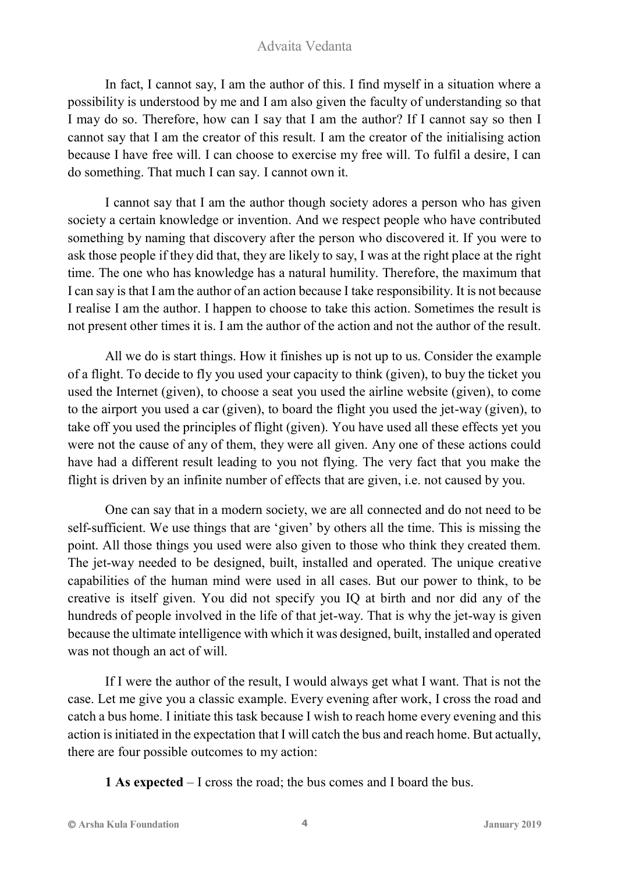In fact, I cannot say, I am the author of this. I find myself in a situation where a possibility is understood by me and I am also given the faculty of understanding so that I may do so. Therefore, how can I say that I am the author? If I cannot say so then I cannot say that I am the creator of this result. I am the creator of the initialising action because I have free will. I can choose to exercise my free will. To fulfil a desire, I can do something. That much I can say. I cannot own it.

I cannot say that I am the author though society adores a person who has given society a certain knowledge or invention. And we respect people who have contributed something by naming that discovery after the person who discovered it. If you were to ask those people if they did that, they are likely to say, I was at the right place at the right time. The one who has knowledge has a natural humility. Therefore, the maximum that I can say is that I am the author of an action because I take responsibility. It is not because I realise I am the author. I happen to choose to take this action. Sometimes the result is not present other times it is. I am the author of the action and not the author of the result.

All we do is start things. How it finishes up is not up to us. Consider the example of a flight. To decide to fly you used your capacity to think (given), to buy the ticket you used the Internet (given), to choose a seat you used the airline website (given), to come to the airport you used a car (given), to board the flight you used the jet-way (given), to take off you used the principles of flight (given). You have used all these effects yet you were not the cause of any of them, they were all given. Any one of these actions could have had a different result leading to you not flying. The very fact that you make the flight is driven by an infinite number of effects that are given, i.e. not caused by you.

One can say that in a modern society, we are all connected and do not need to be self-sufficient. We use things that are 'given' by others all the time. This is missing the point. All those things you used were also given to those who think they created them. The jet-way needed to be designed, built, installed and operated. The unique creative capabilities of the human mind were used in all cases. But our power to think, to be creative is itself given. You did not specify you IQ at birth and nor did any of the hundreds of people involved in the life of that jet-way. That is why the jet-way is given because the ultimate intelligence with which it was designed, built, installed and operated was not though an act of will.

If I were the author of the result, I would always get what I want. That is not the case. Let me give you a classic example. Every evening after work, I cross the road and catch a bus home. I initiate this task because I wish to reach home every evening and this action is initiated in the expectation that I will catch the bus and reach home. But actually, there are four possible outcomes to my action:

**1 As expected** – I cross the road; the bus comes and I board the bus.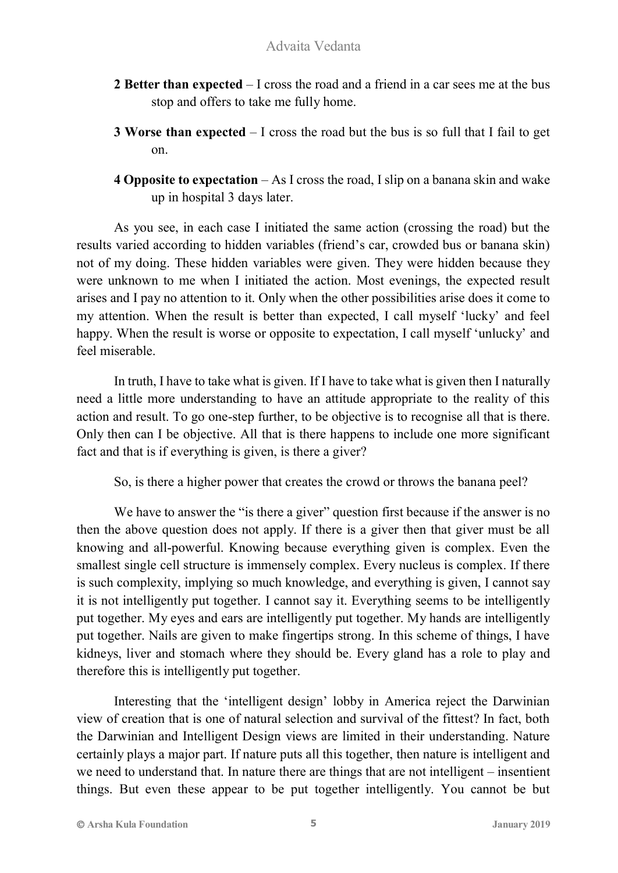- **2 Better than expected** I cross the road and a friend in a car sees me at the bus stop and offers to take me fully home.
- **3 Worse than expected** I cross the road but the bus is so full that I fail to get on.
- **4 Opposite to expectation** As I cross the road, I slip on a banana skin and wake up in hospital 3 days later.

As you see, in each case I initiated the same action (crossing the road) but the results varied according to hidden variables (friend's car, crowded bus or banana skin) not of my doing. These hidden variables were given. They were hidden because they were unknown to me when I initiated the action. Most evenings, the expected result arises and I pay no attention to it. Only when the other possibilities arise does it come to my attention. When the result is better than expected, I call myself 'lucky' and feel happy. When the result is worse or opposite to expectation, I call myself 'unlucky' and feel miserable.

In truth, I have to take what is given. If I have to take what is given then I naturally need a little more understanding to have an attitude appropriate to the reality of this action and result. To go one-step further, to be objective is to recognise all that is there. Only then can I be objective. All that is there happens to include one more significant fact and that is if everything is given, is there a giver?

So, is there a higher power that creates the crowd or throws the banana peel?

We have to answer the "is there a giver" question first because if the answer is no then the above question does not apply. If there is a giver then that giver must be all knowing and all-powerful. Knowing because everything given is complex. Even the smallest single cell structure is immensely complex. Every nucleus is complex. If there is such complexity, implying so much knowledge, and everything is given, I cannot say it is not intelligently put together. I cannot say it. Everything seems to be intelligently put together. My eyes and ears are intelligently put together. My hands are intelligently put together. Nails are given to make fingertips strong. In this scheme of things, I have kidneys, liver and stomach where they should be. Every gland has a role to play and therefore this is intelligently put together.

Interesting that the 'intelligent design' lobby in America reject the Darwinian view of creation that is one of natural selection and survival of the fittest? In fact, both the Darwinian and Intelligent Design views are limited in their understanding. Nature certainly plays a major part. If nature puts all this together, then nature is intelligent and we need to understand that. In nature there are things that are not intelligent – insentient things. But even these appear to be put together intelligently. You cannot be but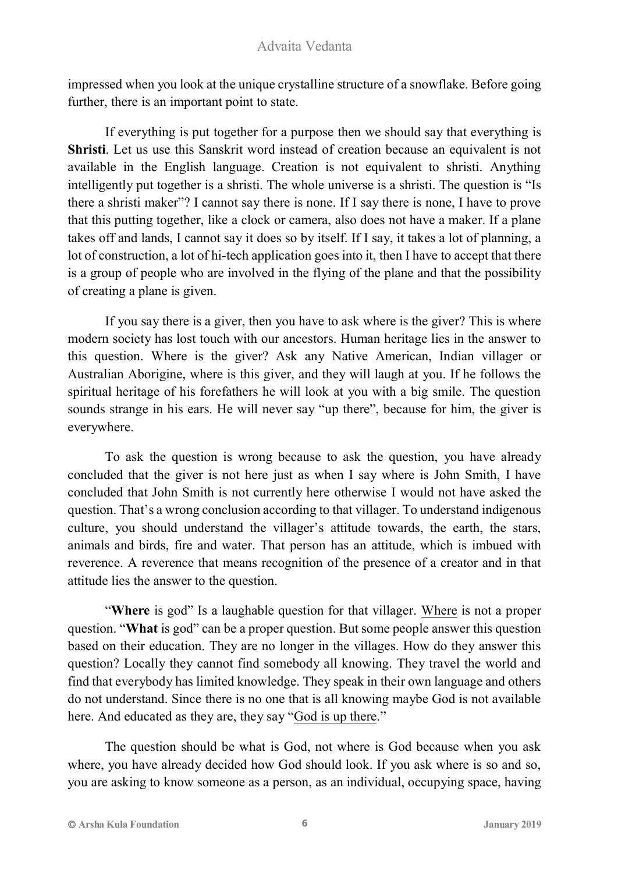impressed when you look at the unique crystalline structure of a snowflake. Before going further, there is an important point to state.

If everything is put together for a purpose then we should say that everything is **Shristi**. Let us use this Sanskrit word instead of creation because an equivalent is not available in the English language. Creation is not equivalent to shristi. Anything intelligently put together is a shristi. The whole universe is a shristi. The question is "Is there a shristi maker"? I cannot say there is none. If I say there is none, I have to prove that this putting together, like a clock or camera, also does not have a maker. If a plane takes off and lands, I cannot say it does so by itself. If I say, it takes a lot of planning, a lot of construction, a lot of hi-tech application goes into it, then I have to accept that there is a group of people who are involved in the flying of the plane and that the possibility of creating a plane is given.

If you say there is a giver, then you have to ask where is the giver? This is where modern society has lost touch with our ancestors. Human heritage lies in the answer to this question. Where is the giver? Ask any Native American, Indian villager or Australian Aborigine, where is this giver, and they will laugh at you. If he follows the spiritual heritage of his forefathers he will look at you with a big smile. The question sounds strange in his ears. He will never say "up there", because for him, the giver is everywhere.

To ask the question is wrong because to ask the question, you have already concluded that the giver is not here just as when I say where is John Smith, I have concluded that John Smith is not currently here otherwise I would not have asked the question. That's a wrong conclusion according to that villager. To understand indigenous culture, you should understand the villager's attitude towards, the earth, the stars, animals and birds, fire and water. That person has an attitude, which is imbued with reverence. A reverence that means recognition of the presence of a creator and in that attitude lies the answer to the question.

"**Where** is god" Is a laughable question for that villager. Where is not a proper question. "**What** is god" can be a proper question. But some people answer this question based on their education. They are no longer in the villages. How do they answer this question? Locally they cannot find somebody all knowing. They travel the world and find that everybody has limited knowledge. They speak in their own language and others do not understand. Since there is no one that is all knowing maybe God is not available here. And educated as they are, they say "God is up there."

The question should be what is God, not where is God because when you ask where, you have already decided how God should look. If you ask where is so and so, you are asking to know someone as a person, as an individual, occupying space, having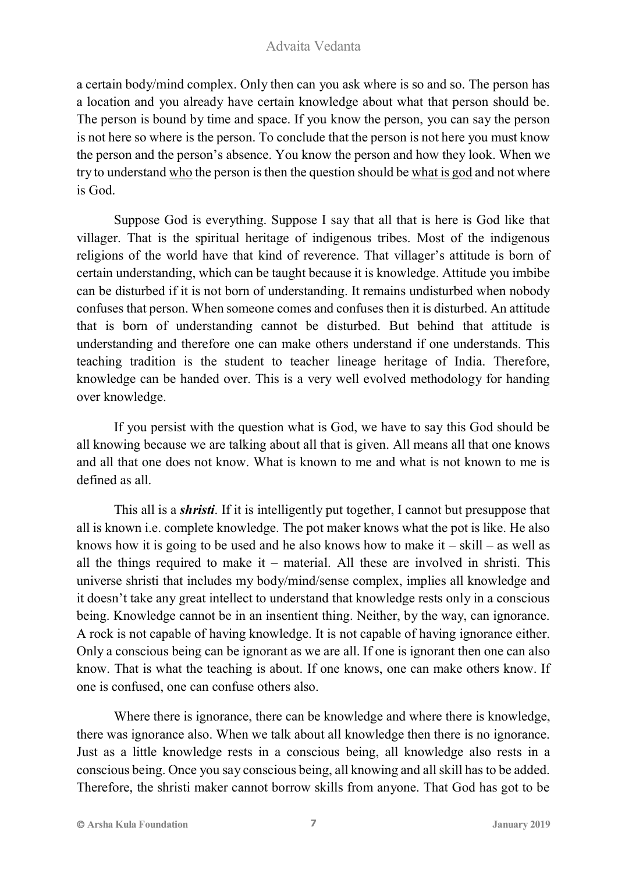a certain body/mind complex. Only then can you ask where is so and so. The person has a location and you already have certain knowledge about what that person should be. The person is bound by time and space. If you know the person, you can say the person is not here so where is the person. To conclude that the person is not here you must know the person and the person's absence. You know the person and how they look. When we try to understand who the person is then the question should be what is god and not where is God.

Suppose God is everything. Suppose I say that all that is here is God like that villager. That is the spiritual heritage of indigenous tribes. Most of the indigenous religions of the world have that kind of reverence. That villager's attitude is born of certain understanding, which can be taught because it is knowledge. Attitude you imbibe can be disturbed if it is not born of understanding. It remains undisturbed when nobody confuses that person. When someone comes and confuses then it is disturbed. An attitude that is born of understanding cannot be disturbed. But behind that attitude is understanding and therefore one can make others understand if one understands. This teaching tradition is the student to teacher lineage heritage of India. Therefore, knowledge can be handed over. This is a very well evolved methodology for handing over knowledge.

If you persist with the question what is God, we have to say this God should be all knowing because we are talking about all that is given. All means all that one knows and all that one does not know. What is known to me and what is not known to me is defined as all.

This all is a *shristi*. If it is intelligently put together, I cannot but presuppose that all is known i.e. complete knowledge. The pot maker knows what the pot is like. He also knows how it is going to be used and he also knows how to make it  $-$  skill  $-$  as well as all the things required to make it – material. All these are involved in shristi. This universe shristi that includes my body/mind/sense complex, implies all knowledge and it doesn't take any great intellect to understand that knowledge rests only in a conscious being. Knowledge cannot be in an insentient thing. Neither, by the way, can ignorance. A rock is not capable of having knowledge. It is not capable of having ignorance either. Only a conscious being can be ignorant as we are all. If one is ignorant then one can also know. That is what the teaching is about. If one knows, one can make others know. If one is confused, one can confuse others also.

Where there is ignorance, there can be knowledge and where there is knowledge, there was ignorance also. When we talk about all knowledge then there is no ignorance. Just as a little knowledge rests in a conscious being, all knowledge also rests in a conscious being. Once you say conscious being, all knowing and all skill has to be added. Therefore, the shristi maker cannot borrow skills from anyone. That God has got to be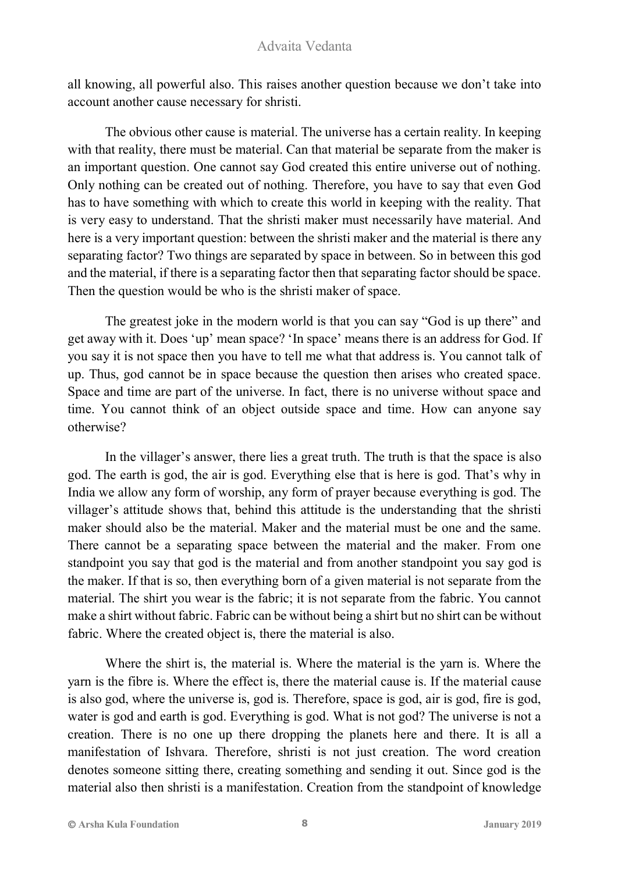all knowing, all powerful also. This raises another question because we don't take into account another cause necessary for shristi.

The obvious other cause is material. The universe has a certain reality. In keeping with that reality, there must be material. Can that material be separate from the maker is an important question. One cannot say God created this entire universe out of nothing. Only nothing can be created out of nothing. Therefore, you have to say that even God has to have something with which to create this world in keeping with the reality. That is very easy to understand. That the shristi maker must necessarily have material. And here is a very important question: between the shristi maker and the material is there any separating factor? Two things are separated by space in between. So in between this god and the material, if there is a separating factor then that separating factor should be space. Then the question would be who is the shristi maker of space.

The greatest joke in the modern world is that you can say "God is up there" and get away with it. Does 'up' mean space? 'In space' means there is an address for God. If you say it is not space then you have to tell me what that address is. You cannot talk of up. Thus, god cannot be in space because the question then arises who created space. Space and time are part of the universe. In fact, there is no universe without space and time. You cannot think of an object outside space and time. How can anyone say otherwise?

In the villager's answer, there lies a great truth. The truth is that the space is also god. The earth is god, the air is god. Everything else that is here is god. That's why in India we allow any form of worship, any form of prayer because everything is god. The villager's attitude shows that, behind this attitude is the understanding that the shristi maker should also be the material. Maker and the material must be one and the same. There cannot be a separating space between the material and the maker. From one standpoint you say that god is the material and from another standpoint you say god is the maker. If that is so, then everything born of a given material is not separate from the material. The shirt you wear is the fabric; it is not separate from the fabric. You cannot make a shirt without fabric. Fabric can be without being a shirt but no shirt can be without fabric. Where the created object is, there the material is also.

Where the shirt is, the material is. Where the material is the yarn is. Where the yarn is the fibre is. Where the effect is, there the material cause is. If the material cause is also god, where the universe is, god is. Therefore, space is god, air is god, fire is god, water is god and earth is god. Everything is god. What is not god? The universe is not a creation. There is no one up there dropping the planets here and there. It is all a manifestation of Ishvara. Therefore, shristi is not just creation. The word creation denotes someone sitting there, creating something and sending it out. Since god is the material also then shristi is a manifestation. Creation from the standpoint of knowledge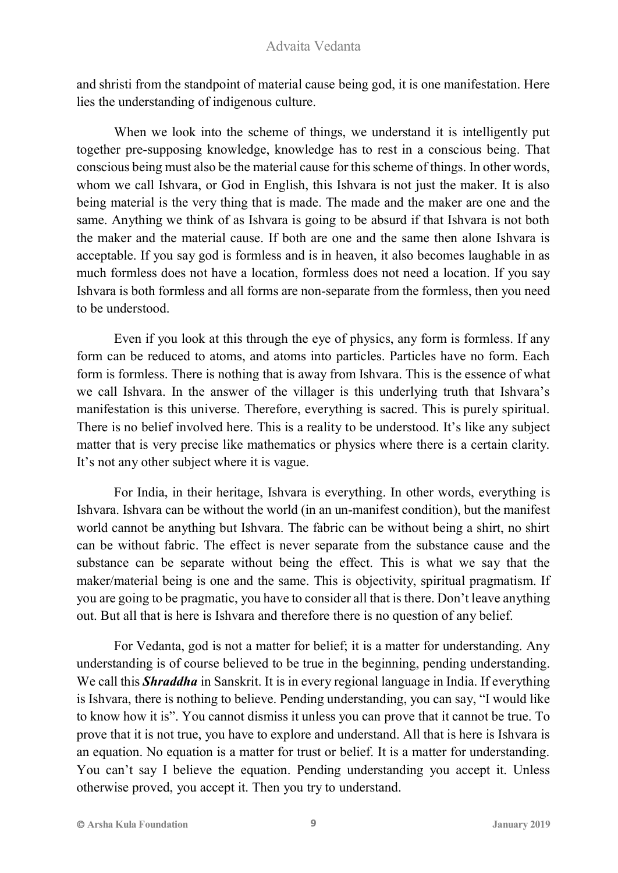and shristi from the standpoint of material cause being god, it is one manifestation. Here lies the understanding of indigenous culture.

When we look into the scheme of things, we understand it is intelligently put together pre-supposing knowledge, knowledge has to rest in a conscious being. That conscious being must also be the material cause for this scheme of things. In other words, whom we call Ishvara, or God in English, this Ishvara is not just the maker. It is also being material is the very thing that is made. The made and the maker are one and the same. Anything we think of as Ishvara is going to be absurd if that Ishvara is not both the maker and the material cause. If both are one and the same then alone Ishvara is acceptable. If you say god is formless and is in heaven, it also becomes laughable in as much formless does not have a location, formless does not need a location. If you say Ishvara is both formless and all forms are non-separate from the formless, then you need to be understood.

Even if you look at this through the eye of physics, any form is formless. If any form can be reduced to atoms, and atoms into particles. Particles have no form. Each form is formless. There is nothing that is away from Ishvara. This is the essence of what we call Ishvara. In the answer of the villager is this underlying truth that Ishvara's manifestation is this universe. Therefore, everything is sacred. This is purely spiritual. There is no belief involved here. This is a reality to be understood. It's like any subject matter that is very precise like mathematics or physics where there is a certain clarity. It's not any other subject where it is vague.

For India, in their heritage, Ishvara is everything. In other words, everything is Ishvara. Ishvara can be without the world (in an un-manifest condition), but the manifest world cannot be anything but Ishvara. The fabric can be without being a shirt, no shirt can be without fabric. The effect is never separate from the substance cause and the substance can be separate without being the effect. This is what we say that the maker/material being is one and the same. This is objectivity, spiritual pragmatism. If you are going to be pragmatic, you have to consider all that is there. Don't leave anything out. But all that is here is Ishvara and therefore there is no question of any belief.

For Vedanta, god is not a matter for belief; it is a matter for understanding. Any understanding is of course believed to be true in the beginning, pending understanding. We call this *Shraddha* in Sanskrit. It is in every regional language in India. If everything is Ishvara, there is nothing to believe. Pending understanding, you can say, "I would like to know how it is". You cannot dismiss it unless you can prove that it cannot be true. To prove that it is not true, you have to explore and understand. All that is here is Ishvara is an equation. No equation is a matter for trust or belief. It is a matter for understanding. You can't say I believe the equation. Pending understanding you accept it. Unless otherwise proved, you accept it. Then you try to understand.